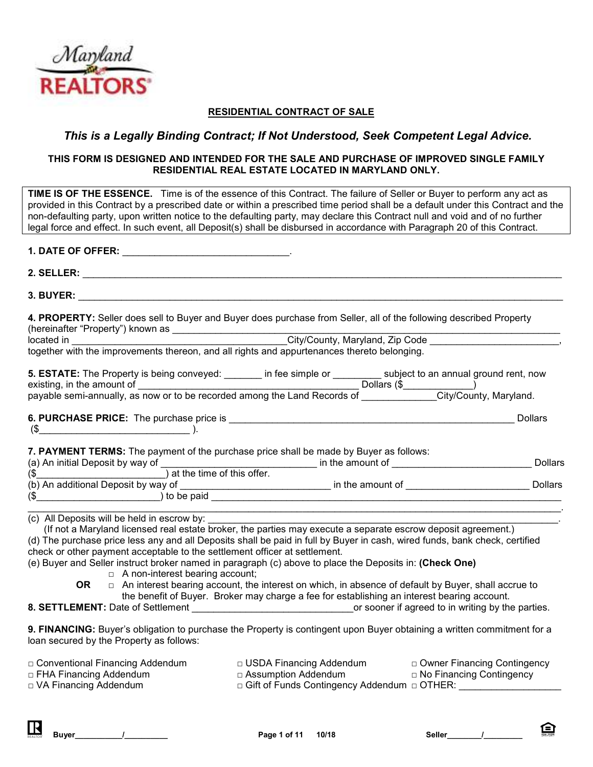

## **RESIDENTIAL CONTRACT OF SALE**

# *This is a Legally Binding Contract; If Not Understood, Seek Competent Legal Advice.*

#### **THIS FORM IS DESIGNED AND INTENDED FOR THE SALE AND PURCHASE OF IMPROVED SINGLE FAMILY RESIDENTIAL REAL ESTATE LOCATED IN MARYLAND ONLY.**

**TIME IS OF THE ESSENCE.** Time is of the essence of this Contract. The failure of Seller or Buyer to perform any act as provided in this Contract by a prescribed date or within a prescribed time period shall be a default under this Contract and the non-defaulting party, upon written notice to the defaulting party, may declare this Contract null and void and of no further legal force and effect. In such event, all Deposit(s) shall be disbursed in accordance with Paragraph 20 of this Contract.

| 4. PROPERTY: Seller does sell to Buyer and Buyer does purchase from Seller, all of the following described Property                                                 |                                                                                                       |                                                         |
|---------------------------------------------------------------------------------------------------------------------------------------------------------------------|-------------------------------------------------------------------------------------------------------|---------------------------------------------------------|
|                                                                                                                                                                     |                                                                                                       |                                                         |
|                                                                                                                                                                     |                                                                                                       |                                                         |
|                                                                                                                                                                     |                                                                                                       |                                                         |
|                                                                                                                                                                     |                                                                                                       |                                                         |
|                                                                                                                                                                     |                                                                                                       | <b>Dollars</b>                                          |
| $\qquad \qquad (\mathbb{S}_{\underbrace{\qquad \qquad }}).$                                                                                                         |                                                                                                       |                                                         |
| 7. PAYMENT TERMS: The payment of the purchase price shall be made by Buyer as follows:                                                                              |                                                                                                       |                                                         |
|                                                                                                                                                                     |                                                                                                       | <b>Dollars</b>                                          |
| (a) An initial Deposit by way of $\frac{1}{\sqrt{2\pi}}$ at the time of this offer.                                                                                 |                                                                                                       |                                                         |
|                                                                                                                                                                     |                                                                                                       |                                                         |
|                                                                                                                                                                     |                                                                                                       |                                                         |
| (c) All Deposits will be held in escrow by:                                                                                                                         |                                                                                                       |                                                         |
| (If not a Maryland licensed real estate broker, the parties may execute a separate escrow deposit agreement.)                                                       |                                                                                                       |                                                         |
| (d) The purchase price less any and all Deposits shall be paid in full by Buyer in cash, wired funds, bank check, certified                                         |                                                                                                       |                                                         |
| check or other payment acceptable to the settlement officer at settlement.                                                                                          |                                                                                                       |                                                         |
| (e) Buyer and Seller instruct broker named in paragraph (c) above to place the Deposits in: (Check One)                                                             |                                                                                                       |                                                         |
| $\Box$ A non-interest bearing account;                                                                                                                              |                                                                                                       |                                                         |
| <b>OR</b>                                                                                                                                                           | □ An interest bearing account, the interest on which, in absence of default by Buyer, shall accrue to |                                                         |
|                                                                                                                                                                     | the benefit of Buyer. Broker may charge a fee for establishing an interest bearing account.           |                                                         |
|                                                                                                                                                                     |                                                                                                       |                                                         |
| 9. FINANCING: Buyer's obligation to purchase the Property is contingent upon Buyer obtaining a written commitment for a<br>loan secured by the Property as follows: |                                                                                                       |                                                         |
| □ Conventional Financing Addendum                                                                                                                                   |                                                                                                       | □ USDA Financing Addendum □ Owner Financing Contingency |
| □ FHA Financing Addendum                                                                                                                                            |                                                                                                       |                                                         |
| □ VA Financing Addendum                                                                                                                                             | □ Gift of Funds Contingency Addendum □ OTHER:                                                         |                                                         |

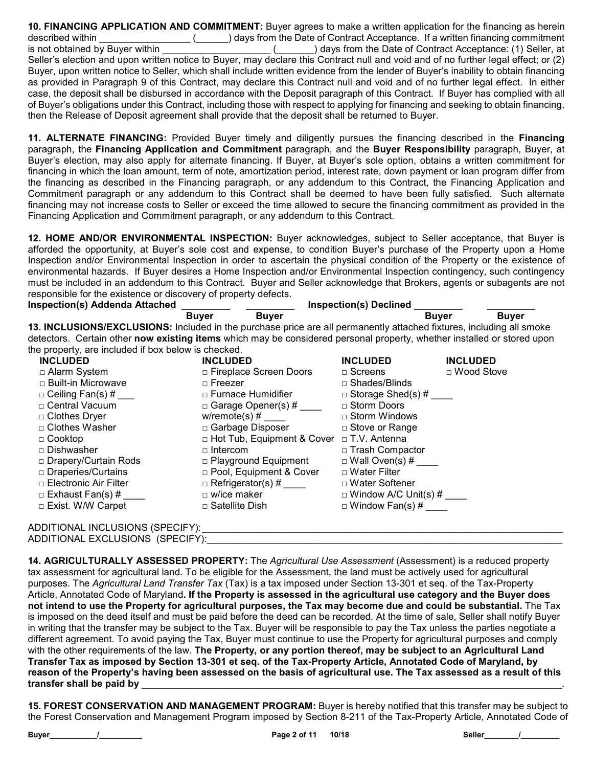**10. FINANCING APPLICATION AND COMMITMENT:** Buyer agrees to make a written application for the financing as herein described within \_\_\_\_\_\_\_\_\_\_\_\_\_\_\_\_\_ (\_\_\_\_\_\_) days from the Date of Contract Acceptance. If a written financing commitment is not obtained by Buyer within \_\_\_\_\_\_\_\_\_\_\_\_\_\_\_\_\_\_\_\_ (\_\_\_\_\_\_\_) days from the Date of Contract Acceptance: (1) Seller, at Seller's election and upon written notice to Buyer, may declare this Contract null and void and of no further legal effect; or (2) Buyer, upon written notice to Seller, which shall include written evidence from the lender of Buyer's inability to obtain financing as provided in Paragraph 9 of this Contract, may declare this Contract null and void and of no further legal effect. In either case, the deposit shall be disbursed in accordance with the Deposit paragraph of this Contract. If Buyer has complied with all of Buyer's obligations under this Contract, including those with respect to applying for financing and seeking to obtain financing, then the Release of Deposit agreement shall provide that the deposit shall be returned to Buyer.

**11. ALTERNATE FINANCING:** Provided Buyer timely and diligently pursues the financing described in the **Financing** paragraph, the **Financing Application and Commitment** paragraph, and the **Buyer Responsibility** paragraph, Buyer, at Buyer's election, may also apply for alternate financing. If Buyer, at Buyer's sole option, obtains a written commitment for financing in which the loan amount, term of note, amortization period, interest rate, down payment or loan program differ from the financing as described in the Financing paragraph, or any addendum to this Contract, the Financing Application and Commitment paragraph or any addendum to this Contract shall be deemed to have been fully satisfied. Such alternate financing may not increase costs to Seller or exceed the time allowed to secure the financing commitment as provided in the Financing Application and Commitment paragraph, or any addendum to this Contract.

**12. HOME AND/OR ENVIRONMENTAL INSPECTION:** Buyer acknowledges, subject to Seller acceptance, that Buyer is afforded the opportunity, at Buyer's sole cost and expense, to condition Buyer's purchase of the Property upon a Home Inspection and/or Environmental Inspection in order to ascertain the physical condition of the Property or the existence of environmental hazards. If Buyer desires a Home Inspection and/or Environmental Inspection contingency, such contingency must be included in an addendum to this Contract. Buyer and Seller acknowledge that Brokers, agents or subagents are not responsible for the existence or discovery of property defects.

**Inspection(s) Addenda Attached \_\_\_\_\_\_\_\_ \_\_\_\_\_\_\_\_\_\_\_\_ lnspection(s) Declined \_\_\_\_\_\_\_\_\_**<br>Buver Buver Buver **Buyer Buyer Buyer Buyer Buyer Buyer 13. INCLUSIONS/EXCLUSIONS:** Included in the purchase price are all permanently attached fixtures, including all smoke detectors. Certain other **now existing items** which may be considered personal property, whether installed or stored upon the property, are included if box below is checked.<br>INCLUDED **INCLUDED INCLUDED INCLUDED INCLUDED INCLUDED**  □ Alarm System □ Fireplace Screen Doors □ Screens □ Wood Stove □ Built-in Microwave □ Freezer □ Shades/Blinds

| $\Box$ Built-in Microwave        | $\Box$ Freezer                              | □ Shades/Blinds          |
|----------------------------------|---------------------------------------------|--------------------------|
| $\Box$ Ceiling Fan(s) # ___      | □ Furnace Humidifier                        | $\Box$ Storage Shed(s) # |
| □ Central Vacuum                 | □ Garage Opener(s) #                        | □ Storm Doors            |
| □ Clothes Dryer                  | w/remote(s) $\#$                            | $\Box$ Storm Windows     |
| □ Clothes Washer                 | □ Garbage Disposer                          | □ Stove or Range         |
| $\Box$ Cooktop                   | □ Hot Tub, Equipment & Cover □ T.V. Antenna |                          |
| $\Box$ Dishwasher                | □ Intercom                                  | □ Trash Compactor        |
| □ Drapery/Curtain Rods           | □ Playground Equipment                      | □ Wall Oven(s) #         |
| □ Draperies/Curtains             | □ Pool, Equipment & Cover                   | □ Water Filter           |
| □ Electronic Air Filter          | $\Box$ Refrigerator(s) #                    | □ Water Softener         |
| $\Box$ Exhaust Fan(s) #          | $\Box$ w/ice maker                          | □ Window A/C Unit(s) #   |
| □ Exist. W/W Carpet              | $\Box$ Satellite Dish                       | $\Box$ Window Fan(s) #   |
|                                  |                                             |                          |
| ADDITIONAL INCLUSIONS (SPECIFY): |                                             |                          |
|                                  |                                             |                          |

ADDITIONAL EXCLUSIONS (SPECIFY):\_\_\_\_\_\_\_\_\_\_\_\_\_\_\_\_\_\_\_\_\_\_\_\_\_\_\_\_\_\_\_\_\_\_\_\_\_\_\_\_\_\_\_\_\_\_\_\_\_\_\_\_\_\_\_\_\_\_\_\_\_\_\_\_\_\_

**14. AGRICULTURALLY ASSESSED PROPERTY:** The *Agricultural Use Assessment* (Assessment) is a reduced property tax assessment for agricultural land. To be eligible for the Assessment, the land must be actively used for agricultural purposes. The *Agricultural Land Transfer Tax* (Tax) is a tax imposed under Section 13-301 et seq. of the Tax-Property Article, Annotated Code of Maryland**. If the Property is assessed in the agricultural use category and the Buyer does not intend to use the Property for agricultural purposes, the Tax may become due and could be substantial.** The Tax is imposed on the deed itself and must be paid before the deed can be recorded. At the time of sale, Seller shall notify Buyer in writing that the transfer may be subject to the Tax. Buyer will be responsible to pay the Tax unless the parties negotiate a different agreement. To avoid paying the Tax, Buyer must continue to use the Property for agricultural purposes and comply with the other requirements of the law. **The Property, or any portion thereof, may be subject to an Agricultural Land Transfer Tax as imposed by Section 13-301 et seq. of the Tax-Property Article, Annotated Code of Maryland, by reason of the Property's having been assessed on the basis of agricultural use. The Tax assessed as a result of this**  transfer shall be paid by

**15. FOREST CONSERVATION AND MANAGEMENT PROGRAM:** Buyer is hereby notified that this transfer may be subject to the Forest Conservation and Management Program imposed by Section 8-211 of the Tax-Property Article, Annotated Code of

**Buyer\_\_\_\_\_\_\_\_\_\_\_/\_\_\_\_\_\_\_\_\_\_ Page 2 of 11 10/18 Seller\_\_\_\_\_\_\_\_/\_\_\_\_\_\_\_\_\_**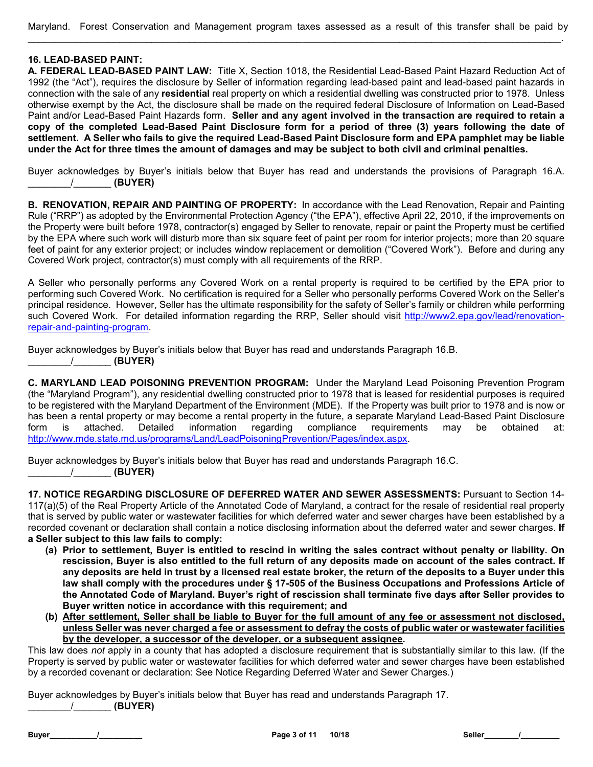#### **16. LEAD-BASED PAINT:**

**A. FEDERAL LEAD-BASED PAINT LAW:** Title X, Section 1018, the Residential Lead-Based Paint Hazard Reduction Act of 1992 (the "Act"), requires the disclosure by Seller of information regarding lead-based paint and lead-based paint hazards in connection with the sale of any **residential** real property on which a residential dwelling was constructed prior to 1978. Unless otherwise exempt by the Act, the disclosure shall be made on the required federal Disclosure of Information on Lead-Based Paint and/or Lead-Based Paint Hazards form. **Seller and any agent involved in the transaction are required to retain a copy of the completed Lead-Based Paint Disclosure form for a period of three (3) years following the date of settlement. A Seller who fails to give the required Lead-Based Paint Disclosure form and EPA pamphlet may be liable under the Act for three times the amount of damages and may be subject to both civil and criminal penalties.** 

Buyer acknowledges by Buyer's initials below that Buyer has read and understands the provisions of Paragraph 16.A. \_\_\_\_\_\_\_\_/\_\_\_\_\_\_\_ **(BUYER)**

**B. RENOVATION, REPAIR AND PAINTING OF PROPERTY:** In accordance with the Lead Renovation, Repair and Painting Rule ("RRP") as adopted by the Environmental Protection Agency ("the EPA"), effective April 22, 2010, if the improvements on the Property were built before 1978, contractor(s) engaged by Seller to renovate, repair or paint the Property must be certified by the EPA where such work will disturb more than six square feet of paint per room for interior projects; more than 20 square feet of paint for any exterior project; or includes window replacement or demolition ("Covered Work"). Before and during any Covered Work project, contractor(s) must comply with all requirements of the RRP.

A Seller who personally performs any Covered Work on a rental property is required to be certified by the EPA prior to performing such Covered Work. No certification is required for a Seller who personally performs Covered Work on the Seller's principal residence. However, Seller has the ultimate responsibility for the safety of Seller's family or children while performing such Covered Work. For detailed information regarding the RRP, Seller should visit http://www2.epa.gov/lead/renovationrepair-and-painting-program.

Buyer acknowledges by Buyer's initials below that Buyer has read and understands Paragraph 16.B. \_\_\_\_\_\_\_\_/\_\_\_\_\_\_\_ **(BUYER)**

**C. MARYLAND LEAD POISONING PREVENTION PROGRAM:** Under the Maryland Lead Poisoning Prevention Program (the "Maryland Program"), any residential dwelling constructed prior to 1978 that is leased for residential purposes is required to be registered with the Maryland Department of the Environment (MDE). If the Property was built prior to 1978 and is now or has been a rental property or may become a rental property in the future, a separate Maryland Lead-Based Paint Disclosure form is attached. Detailed information regarding compliance requirements may be obtained at: http://www.mde.state.md.us/programs/Land/LeadPoisoningPrevention/Pages/index.aspx.

Buyer acknowledges by Buyer's initials below that Buyer has read and understands Paragraph 16.C. \_\_\_\_\_\_\_\_/\_\_\_\_\_\_\_ **(BUYER)**

**17. NOTICE REGARDING DISCLOSURE OF DEFERRED WATER AND SEWER ASSESSMENTS:** Pursuant to Section 14- 117(a)(5) of the Real Property Article of the Annotated Code of Maryland, a contract for the resale of residential real property that is served by public water or wastewater facilities for which deferred water and sewer charges have been established by a recorded covenant or declaration shall contain a notice disclosing information about the deferred water and sewer charges. **If a Seller subject to this law fails to comply:**

- **(a) Prior to settlement, Buyer is entitled to rescind in writing the sales contract without penalty or liability. On rescission, Buyer is also entitled to the full return of any deposits made on account of the sales contract. If any deposits are held in trust by a licensed real estate broker, the return of the deposits to a Buyer under this law shall comply with the procedures under § 17-505 of the Business Occupations and Professions Article of the Annotated Code of Maryland. Buyer's right of rescission shall terminate five days after Seller provides to Buyer written notice in accordance with this requirement; and**
- **(b) After settlement, Seller shall be liable to Buyer for the full amount of any fee or assessment not disclosed, unless Seller was never charged a fee or assessment to defray the costs of public water or wastewater facilities by the developer, a successor of the developer, or a subsequent assignee.**

This law does *not* apply in a county that has adopted a disclosure requirement that is substantially similar to this law. (If the Property is served by public water or wastewater facilities for which deferred water and sewer charges have been established by a recorded covenant or declaration: See Notice Regarding Deferred Water and Sewer Charges.)

Buyer acknowledges by Buyer's initials below that Buyer has read and understands Paragraph 17.

\_\_\_\_\_\_\_\_/\_\_\_\_\_\_\_ **(BUYER)** 

**Buyer\_\_\_\_\_\_\_\_\_\_\_/\_\_\_\_\_\_\_\_\_\_ Page 3 of 11 10/18 Seller\_\_\_\_\_\_\_\_/\_\_\_\_\_\_\_\_\_**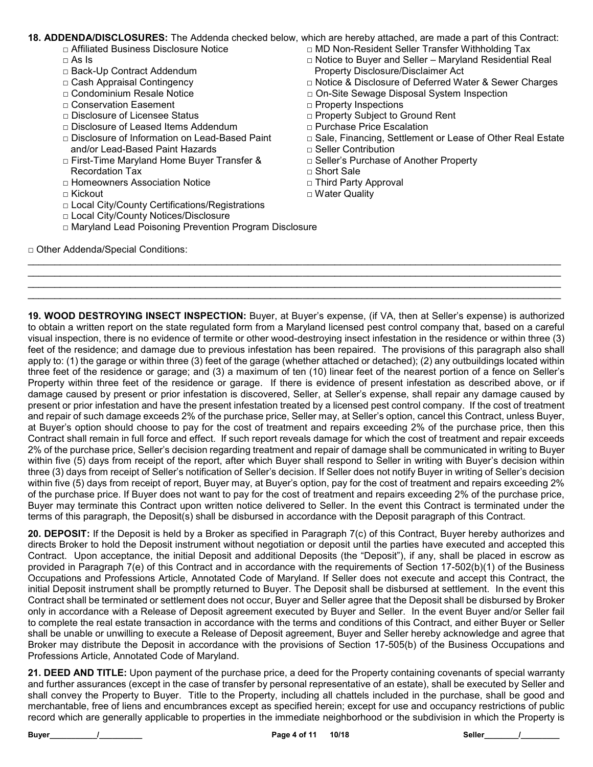#### **18. ADDENDA/DISCLOSURES:** The Addenda checked below, which are hereby attached, are made a part of this Contract:

- 
- 
- 
- 
- 
- □ Conservation Easement □ □ □ □ Property Inspections
- 
- 
- □ Disclosure of Leased Items Addendum □ Purchase Price Escalation<br>□ Disclosure of Information on Lead-Based Paint □ Sale, Financing, Settlemen and/or Lead-Based Paint Hazards □ Seller Contribution<br>First-Time Maryland Home Buyer Transfer & □ Seller's Purchase of Another Property
- □ First-Time Maryland Home Buyer Transfer & Recordation Tax □ Short Sale<br>Homeowners Association Notice □ Third Party Approval
- □ Homeowners Association Notice
- 
- □ Local City/County Certifications/Registrations
- □ Local City/County Notices/Disclosure
- □ Maryland Lead Poisoning Prevention Program Disclosure
- □ Affiliated Business Disclosure Notice □ □ DID Non-Resident Seller Transfer Withholding Tax
- □ As Is □ Notice to Buyer and Seller Maryland Residential Real □ Back-Up Contract Addendum extending property Disclosure/Disclaimer Act
- □ Cash Appraisal Contingency □ □ □ Notice & Disclosure of Deferred Water & Sewer Charges
- □ Condominium Resale Notice □ □ □ □ □ On-Site Sewage Disposal System Inspection
	-
- □ Disclosure of Licensee Status □ Property Subject to Ground Rent
	-
	- □ Sale, Financing, Settlement or Lease of Other Real Estate<br>□ Seller Contribution
	-
	-
	-
	-
- □ Kickout □ Water Quality

□ Other Addenda/Special Conditions:

**19. WOOD DESTROYING INSECT INSPECTION:** Buyer, at Buyer's expense, (if VA, then at Seller's expense) is authorized to obtain a written report on the state regulated form from a Maryland licensed pest control company that, based on a careful visual inspection, there is no evidence of termite or other wood-destroying insect infestation in the residence or within three (3) feet of the residence; and damage due to previous infestation has been repaired. The provisions of this paragraph also shall apply to: (1) the garage or within three (3) feet of the garage (whether attached or detached); (2) any outbuildings located within three feet of the residence or garage; and (3) a maximum of ten (10) linear feet of the nearest portion of a fence on Seller's Property within three feet of the residence or garage. If there is evidence of present infestation as described above, or if damage caused by present or prior infestation is discovered, Seller, at Seller's expense, shall repair any damage caused by present or prior infestation and have the present infestation treated by a licensed pest control company. If the cost of treatment and repair of such damage exceeds 2% of the purchase price, Seller may, at Seller's option, cancel this Contract, unless Buyer, at Buyer's option should choose to pay for the cost of treatment and repairs exceeding 2% of the purchase price, then this Contract shall remain in full force and effect. If such report reveals damage for which the cost of treatment and repair exceeds 2% of the purchase price, Seller's decision regarding treatment and repair of damage shall be communicated in writing to Buyer within five (5) days from receipt of the report, after which Buyer shall respond to Seller in writing with Buyer's decision within three (3) days from receipt of Seller's notification of Seller's decision. If Seller does not notify Buyer in writing of Seller's decision within five (5) days from receipt of report, Buyer may, at Buyer's option, pay for the cost of treatment and repairs exceeding 2% of the purchase price. If Buyer does not want to pay for the cost of treatment and repairs exceeding 2% of the purchase price, Buyer may terminate this Contract upon written notice delivered to Seller. In the event this Contract is terminated under the terms of this paragraph, the Deposit(s) shall be disbursed in accordance with the Deposit paragraph of this Contract.

\_\_\_\_\_\_\_\_\_\_\_\_\_\_\_\_\_\_\_\_\_\_\_\_\_\_\_\_\_\_\_\_\_\_\_\_\_\_\_\_\_\_\_\_\_\_\_\_\_\_\_\_\_\_\_\_\_\_\_\_\_\_\_\_\_\_\_\_\_\_\_\_\_\_\_\_\_\_\_\_\_\_\_\_\_\_\_\_\_\_\_\_\_\_\_\_\_\_\_

\_\_\_\_\_\_\_\_\_\_\_\_\_\_\_\_\_\_\_\_\_\_\_\_\_\_\_\_\_\_\_\_\_\_\_\_\_\_\_\_\_\_\_\_\_\_\_\_\_\_\_\_\_\_\_\_\_\_\_\_\_\_\_\_\_\_\_\_\_\_\_\_\_\_\_\_\_\_\_\_\_\_\_\_\_\_\_\_\_\_\_\_\_\_\_\_\_\_\_ \_\_\_\_\_\_\_\_\_\_\_\_\_\_\_\_\_\_\_\_\_\_\_\_\_\_\_\_\_\_\_\_\_\_\_\_\_\_\_\_\_\_\_\_\_\_\_\_\_\_\_\_\_\_\_\_\_\_\_\_\_\_\_\_\_\_\_\_\_\_\_\_\_\_\_\_\_\_\_\_\_\_\_\_\_\_\_\_\_\_\_\_\_\_\_\_\_\_\_

**20. DEPOSIT:** If the Deposit is held by a Broker as specified in Paragraph 7(c) of this Contract, Buyer hereby authorizes and directs Broker to hold the Deposit instrument without negotiation or deposit until the parties have executed and accepted this Contract. Upon acceptance, the initial Deposit and additional Deposits (the "Deposit"), if any, shall be placed in escrow as provided in Paragraph 7(e) of this Contract and in accordance with the requirements of Section 17-502(b)(1) of the Business Occupations and Professions Article, Annotated Code of Maryland. If Seller does not execute and accept this Contract, the initial Deposit instrument shall be promptly returned to Buyer. The Deposit shall be disbursed at settlement. In the event this Contract shall be terminated or settlement does not occur, Buyer and Seller agree that the Deposit shall be disbursed by Broker only in accordance with a Release of Deposit agreement executed by Buyer and Seller. In the event Buyer and/or Seller fail to complete the real estate transaction in accordance with the terms and conditions of this Contract, and either Buyer or Seller shall be unable or unwilling to execute a Release of Deposit agreement, Buyer and Seller hereby acknowledge and agree that Broker may distribute the Deposit in accordance with the provisions of Section 17-505(b) of the Business Occupations and Professions Article, Annotated Code of Maryland.

**21. DEED AND TITLE:** Upon payment of the purchase price, a deed for the Property containing covenants of special warranty and further assurances (except in the case of transfer by personal representative of an estate), shall be executed by Seller and shall convey the Property to Buyer. Title to the Property, including all chattels included in the purchase, shall be good and merchantable, free of liens and encumbrances except as specified herein; except for use and occupancy restrictions of public record which are generally applicable to properties in the immediate neighborhood or the subdivision in which the Property is

**Buyer\_\_\_\_\_\_\_\_\_\_\_/\_\_\_\_\_\_\_\_\_\_ Page 4 of 11 10/18 Seller\_\_\_\_\_\_\_\_/\_\_\_\_\_\_\_\_\_**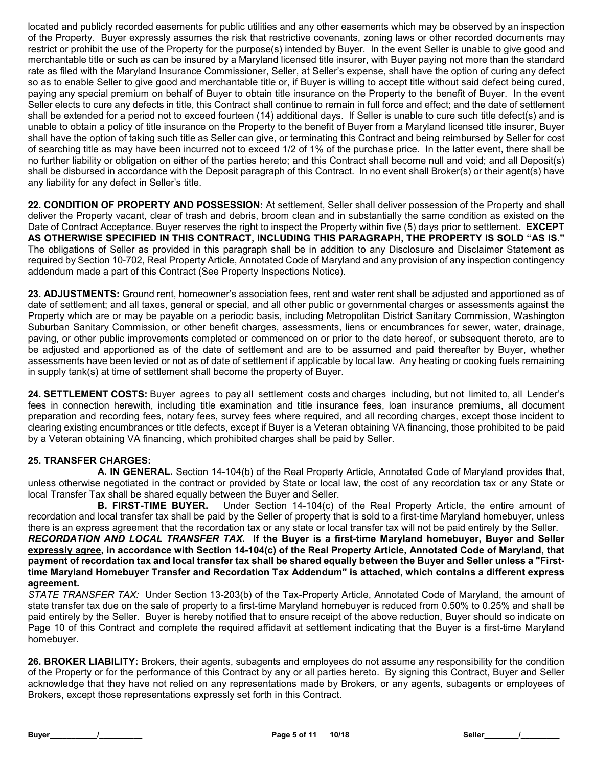located and publicly recorded easements for public utilities and any other easements which may be observed by an inspection of the Property. Buyer expressly assumes the risk that restrictive covenants, zoning laws or other recorded documents may restrict or prohibit the use of the Property for the purpose(s) intended by Buyer. In the event Seller is unable to give good and merchantable title or such as can be insured by a Maryland licensed title insurer, with Buyer paying not more than the standard rate as filed with the Maryland Insurance Commissioner, Seller, at Seller's expense, shall have the option of curing any defect so as to enable Seller to give good and merchantable title or, if Buyer is willing to accept title without said defect being cured, paying any special premium on behalf of Buyer to obtain title insurance on the Property to the benefit of Buyer. In the event Seller elects to cure any defects in title, this Contract shall continue to remain in full force and effect; and the date of settlement shall be extended for a period not to exceed fourteen (14) additional days. If Seller is unable to cure such title defect(s) and is unable to obtain a policy of title insurance on the Property to the benefit of Buyer from a Maryland licensed title insurer, Buyer shall have the option of taking such title as Seller can give, or terminating this Contract and being reimbursed by Seller for cost of searching title as may have been incurred not to exceed 1/2 of 1% of the purchase price. In the latter event, there shall be no further liability or obligation on either of the parties hereto; and this Contract shall become null and void; and all Deposit(s) shall be disbursed in accordance with the Deposit paragraph of this Contract. In no event shall Broker(s) or their agent(s) have any liability for any defect in Seller's title.

**22. CONDITION OF PROPERTY AND POSSESSION:** At settlement, Seller shall deliver possession of the Property and shall deliver the Property vacant, clear of trash and debris, broom clean and in substantially the same condition as existed on the Date of Contract Acceptance. Buyer reserves the right to inspect the Property within five (5) days prior to settlement. **EXCEPT AS OTHERWISE SPECIFIED IN THIS CONTRACT, INCLUDING THIS PARAGRAPH, THE PROPERTY IS SOLD "AS IS."** The obligations of Seller as provided in this paragraph shall be in addition to any Disclosure and Disclaimer Statement as required by Section 10-702, Real Property Article, Annotated Code of Maryland and any provision of any inspection contingency addendum made a part of this Contract (See Property Inspections Notice).

**23. ADJUSTMENTS:** Ground rent, homeowner's association fees, rent and water rent shall be adjusted and apportioned as of date of settlement; and all taxes, general or special, and all other public or governmental charges or assessments against the Property which are or may be payable on a periodic basis, including Metropolitan District Sanitary Commission, Washington Suburban Sanitary Commission, or other benefit charges, assessments, liens or encumbrances for sewer, water, drainage, paving, or other public improvements completed or commenced on or prior to the date hereof, or subsequent thereto, are to be adjusted and apportioned as of the date of settlement and are to be assumed and paid thereafter by Buyer, whether assessments have been levied or not as of date of settlement if applicable by local law. Any heating or cooking fuels remaining in supply tank(s) at time of settlement shall become the property of Buyer.

**24. SETTLEMENT COSTS:** Buyer agrees to pay all settlement costs and charges including, but not limited to, all Lender's fees in connection herewith, including title examination and title insurance fees, loan insurance premiums, all document preparation and recording fees, notary fees, survey fees where required, and all recording charges, except those incident to clearing existing encumbrances or title defects, except if Buyer is a Veteran obtaining VA financing, those prohibited to be paid by a Veteran obtaining VA financing, which prohibited charges shall be paid by Seller.

### **25. TRANSFER CHARGES:**

 **A. IN GENERAL.** Section 14-104(b) of the Real Property Article, Annotated Code of Maryland provides that, unless otherwise negotiated in the contract or provided by State or local law, the cost of any recordation tax or any State or local Transfer Tax shall be shared equally between the Buyer and Seller.

 **B. FIRST-TIME BUYER.** Under Section 14-104(c) of the Real Property Article, the entire amount of recordation and local transfer tax shall be paid by the Seller of property that is sold to a first-time Maryland homebuyer, unless there is an express agreement that the recordation tax or any state or local transfer tax will not be paid entirely by the Seller.

*RECORDATION AND LOCAL TRANSFER TAX.* **If the Buyer is a first-time Maryland homebuyer, Buyer and Seller expressly agree, in accordance with Section 14-104(c) of the Real Property Article, Annotated Code of Maryland, that payment of recordation tax and local transfer tax shall be shared equally between the Buyer and Seller unless a "Firsttime Maryland Homebuyer Transfer and Recordation Tax Addendum" is attached, which contains a different express agreement.** 

*STATE TRANSFER TAX:* Under Section 13-203(b) of the Tax-Property Article, Annotated Code of Maryland, the amount of state transfer tax due on the sale of property to a first-time Maryland homebuyer is reduced from 0.50% to 0.25% and shall be paid entirely by the Seller. Buyer is hereby notified that to ensure receipt of the above reduction, Buyer should so indicate on Page 10 of this Contract and complete the required affidavit at settlement indicating that the Buyer is a first-time Maryland homebuyer.

**26. BROKER LIABILITY:** Brokers, their agents, subagents and employees do not assume any responsibility for the condition of the Property or for the performance of this Contract by any or all parties hereto. By signing this Contract, Buyer and Seller acknowledge that they have not relied on any representations made by Brokers, or any agents, subagents or employees of Brokers, except those representations expressly set forth in this Contract.

**Buyer\_\_\_\_\_\_\_\_\_\_\_/\_\_\_\_\_\_\_\_\_\_ Page 5 of 11 10/18 Seller\_\_\_\_\_\_\_\_/\_\_\_\_\_\_\_\_\_**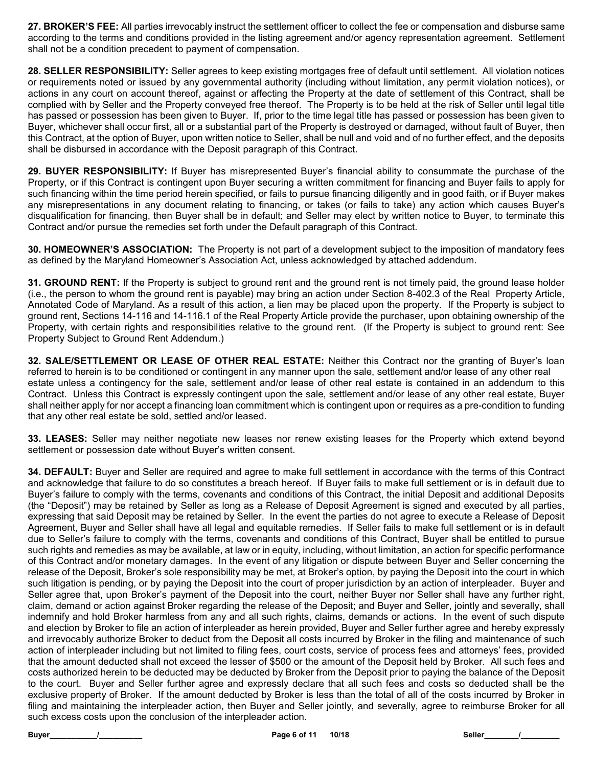**27. BROKER'S FEE:** All parties irrevocably instruct the settlement officer to collect the fee or compensation and disburse same according to the terms and conditions provided in the listing agreement and/or agency representation agreement. Settlement shall not be a condition precedent to payment of compensation.

**28. SELLER RESPONSIBILITY:** Seller agrees to keep existing mortgages free of default until settlement. All violation notices or requirements noted or issued by any governmental authority (including without limitation, any permit violation notices), or actions in any court on account thereof, against or affecting the Property at the date of settlement of this Contract, shall be complied with by Seller and the Property conveyed free thereof. The Property is to be held at the risk of Seller until legal title has passed or possession has been given to Buyer. If, prior to the time legal title has passed or possession has been given to Buyer, whichever shall occur first, all or a substantial part of the Property is destroyed or damaged, without fault of Buyer, then this Contract, at the option of Buyer, upon written notice to Seller, shall be null and void and of no further effect, and the deposits shall be disbursed in accordance with the Deposit paragraph of this Contract.

**29. BUYER RESPONSIBILITY:** If Buyer has misrepresented Buyer's financial ability to consummate the purchase of the Property, or if this Contract is contingent upon Buyer securing a written commitment for financing and Buyer fails to apply for such financing within the time period herein specified, or fails to pursue financing diligently and in good faith, or if Buyer makes any misrepresentations in any document relating to financing, or takes (or fails to take) any action which causes Buyer's disqualification for financing, then Buyer shall be in default; and Seller may elect by written notice to Buyer, to terminate this Contract and/or pursue the remedies set forth under the Default paragraph of this Contract.

**30. HOMEOWNER'S ASSOCIATION:** The Property is not part of a development subject to the imposition of mandatory fees as defined by the Maryland Homeowner's Association Act, unless acknowledged by attached addendum.

**31. GROUND RENT:** If the Property is subject to ground rent and the ground rent is not timely paid, the ground lease holder (i.e., the person to whom the ground rent is payable) may bring an action under Section 8-402.3 of the Real Property Article, Annotated Code of Maryland. As a result of this action, a lien may be placed upon the property. If the Property is subject to ground rent, Sections 14-116 and 14-116.1 of the Real Property Article provide the purchaser, upon obtaining ownership of the Property, with certain rights and responsibilities relative to the ground rent. (If the Property is subject to ground rent: See Property Subject to Ground Rent Addendum.)

**32. SALE/SETTLEMENT OR LEASE OF OTHER REAL ESTATE:** Neither this Contract nor the granting of Buyer's loan referred to herein is to be conditioned or contingent in any manner upon the sale, settlement and/or lease of any other real estate unless a contingency for the sale, settlement and/or lease of other real estate is contained in an addendum to this Contract. Unless this Contract is expressly contingent upon the sale, settlement and/or lease of any other real estate, Buyer shall neither apply for nor accept a financing loan commitment which is contingent upon or requires as a pre-condition to funding that any other real estate be sold, settled and/or leased.

**33. LEASES:** Seller may neither negotiate new leases nor renew existing leases for the Property which extend beyond settlement or possession date without Buyer's written consent.

**34. DEFAULT:** Buyer and Seller are required and agree to make full settlement in accordance with the terms of this Contract and acknowledge that failure to do so constitutes a breach hereof. If Buyer fails to make full settlement or is in default due to Buyer's failure to comply with the terms, covenants and conditions of this Contract, the initial Deposit and additional Deposits (the "Deposit") may be retained by Seller as long as a Release of Deposit Agreement is signed and executed by all parties, expressing that said Deposit may be retained by Seller. In the event the parties do not agree to execute a Release of Deposit Agreement, Buyer and Seller shall have all legal and equitable remedies. If Seller fails to make full settlement or is in default due to Seller's failure to comply with the terms, covenants and conditions of this Contract, Buyer shall be entitled to pursue such rights and remedies as may be available, at law or in equity, including, without limitation, an action for specific performance of this Contract and/or monetary damages. In the event of any litigation or dispute between Buyer and Seller concerning the release of the Deposit, Broker's sole responsibility may be met, at Broker's option, by paying the Deposit into the court in which such litigation is pending, or by paying the Deposit into the court of proper jurisdiction by an action of interpleader. Buyer and Seller agree that, upon Broker's payment of the Deposit into the court, neither Buyer nor Seller shall have any further right, claim, demand or action against Broker regarding the release of the Deposit; and Buyer and Seller, jointly and severally, shall indemnify and hold Broker harmless from any and all such rights, claims, demands or actions. In the event of such dispute and election by Broker to file an action of interpleader as herein provided, Buyer and Seller further agree and hereby expressly and irrevocably authorize Broker to deduct from the Deposit all costs incurred by Broker in the filing and maintenance of such action of interpleader including but not limited to filing fees, court costs, service of process fees and attorneys' fees, provided that the amount deducted shall not exceed the lesser of \$500 or the amount of the Deposit held by Broker. All such fees and costs authorized herein to be deducted may be deducted by Broker from the Deposit prior to paying the balance of the Deposit to the court. Buyer and Seller further agree and expressly declare that all such fees and costs so deducted shall be the exclusive property of Broker. If the amount deducted by Broker is less than the total of all of the costs incurred by Broker in filing and maintaining the interpleader action, then Buyer and Seller jointly, and severally, agree to reimburse Broker for all such excess costs upon the conclusion of the interpleader action.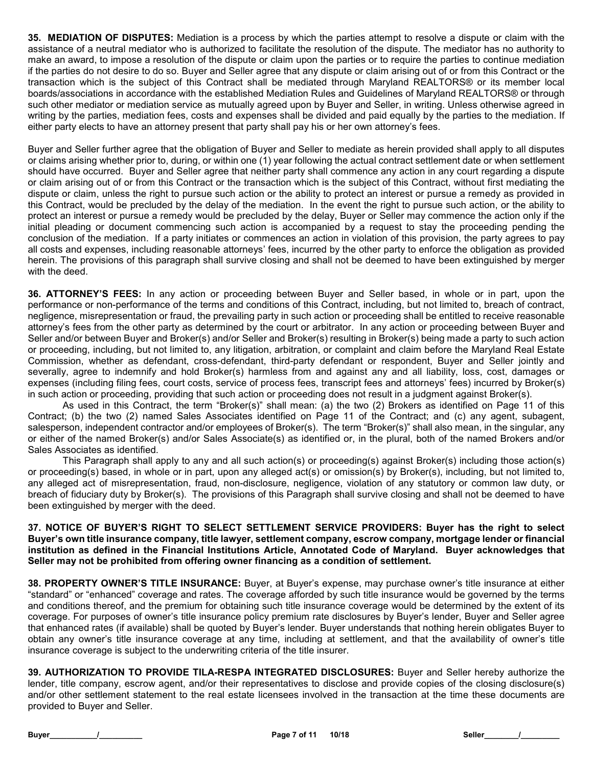**35. MEDIATION OF DISPUTES:** Mediation is a process by which the parties attempt to resolve a dispute or claim with the assistance of a neutral mediator who is authorized to facilitate the resolution of the dispute. The mediator has no authority to make an award, to impose a resolution of the dispute or claim upon the parties or to require the parties to continue mediation if the parties do not desire to do so. Buyer and Seller agree that any dispute or claim arising out of or from this Contract or the transaction which is the subject of this Contract shall be mediated through Maryland REALTORS® or its member local boards/associations in accordance with the established Mediation Rules and Guidelines of Maryland REALTORS® or through such other mediator or mediation service as mutually agreed upon by Buyer and Seller, in writing. Unless otherwise agreed in writing by the parties, mediation fees, costs and expenses shall be divided and paid equally by the parties to the mediation. If either party elects to have an attorney present that party shall pay his or her own attorney's fees.

Buyer and Seller further agree that the obligation of Buyer and Seller to mediate as herein provided shall apply to all disputes or claims arising whether prior to, during, or within one (1) year following the actual contract settlement date or when settlement should have occurred. Buyer and Seller agree that neither party shall commence any action in any court regarding a dispute or claim arising out of or from this Contract or the transaction which is the subject of this Contract, without first mediating the dispute or claim, unless the right to pursue such action or the ability to protect an interest or pursue a remedy as provided in this Contract, would be precluded by the delay of the mediation. In the event the right to pursue such action, or the ability to protect an interest or pursue a remedy would be precluded by the delay, Buyer or Seller may commence the action only if the initial pleading or document commencing such action is accompanied by a request to stay the proceeding pending the conclusion of the mediation. If a party initiates or commences an action in violation of this provision, the party agrees to pay all costs and expenses, including reasonable attorneys' fees, incurred by the other party to enforce the obligation as provided herein. The provisions of this paragraph shall survive closing and shall not be deemed to have been extinguished by merger with the deed.

**36. ATTORNEY'S FEES:** In any action or proceeding between Buyer and Seller based, in whole or in part, upon the performance or non-performance of the terms and conditions of this Contract, including, but not limited to, breach of contract, negligence, misrepresentation or fraud, the prevailing party in such action or proceeding shall be entitled to receive reasonable attorney's fees from the other party as determined by the court or arbitrator. In any action or proceeding between Buyer and Seller and/or between Buyer and Broker(s) and/or Seller and Broker(s) resulting in Broker(s) being made a party to such action or proceeding, including, but not limited to, any litigation, arbitration, or complaint and claim before the Maryland Real Estate Commission, whether as defendant, cross-defendant, third-party defendant or respondent, Buyer and Seller jointly and severally, agree to indemnify and hold Broker(s) harmless from and against any and all liability, loss, cost, damages or expenses (including filing fees, court costs, service of process fees, transcript fees and attorneys' fees) incurred by Broker(s) in such action or proceeding, providing that such action or proceeding does not result in a judgment against Broker(s).

 As used in this Contract, the term "Broker(s)" shall mean: (a) the two (2) Brokers as identified on Page 11 of this Contract; (b) the two (2) named Sales Associates identified on Page 11 of the Contract; and (c) any agent, subagent, salesperson, independent contractor and/or employees of Broker(s). The term "Broker(s)" shall also mean, in the singular, any or either of the named Broker(s) and/or Sales Associate(s) as identified or, in the plural, both of the named Brokers and/or Sales Associates as identified.

 This Paragraph shall apply to any and all such action(s) or proceeding(s) against Broker(s) including those action(s) or proceeding(s) based, in whole or in part, upon any alleged act(s) or omission(s) by Broker(s), including, but not limited to, any alleged act of misrepresentation, fraud, non-disclosure, negligence, violation of any statutory or common law duty, or breach of fiduciary duty by Broker(s). The provisions of this Paragraph shall survive closing and shall not be deemed to have been extinguished by merger with the deed.

**37. NOTICE OF BUYER'S RIGHT TO SELECT SETTLEMENT SERVICE PROVIDERS: Buyer has the right to select Buyer's own title insurance company, title lawyer, settlement company, escrow company, mortgage lender or financial institution as defined in the Financial Institutions Article, Annotated Code of Maryland. Buyer acknowledges that Seller may not be prohibited from offering owner financing as a condition of settlement.** 

**38. PROPERTY OWNER'S TITLE INSURANCE:** Buyer, at Buyer's expense, may purchase owner's title insurance at either "standard" or "enhanced" coverage and rates. The coverage afforded by such title insurance would be governed by the terms and conditions thereof, and the premium for obtaining such title insurance coverage would be determined by the extent of its coverage. For purposes of owner's title insurance policy premium rate disclosures by Buyer's lender, Buyer and Seller agree that enhanced rates (if available) shall be quoted by Buyer's lender. Buyer understands that nothing herein obligates Buyer to obtain any owner's title insurance coverage at any time, including at settlement, and that the availability of owner's title insurance coverage is subject to the underwriting criteria of the title insurer.

**39. AUTHORIZATION TO PROVIDE TILA-RESPA INTEGRATED DISCLOSURES:** Buyer and Seller hereby authorize the lender, title company, escrow agent, and/or their representatives to disclose and provide copies of the closing disclosure(s) and/or other settlement statement to the real estate licensees involved in the transaction at the time these documents are provided to Buyer and Seller.

**Buyer\_\_\_\_\_\_\_\_\_\_\_/\_\_\_\_\_\_\_\_\_\_ Page 7 of 11 10/18 Seller\_\_\_\_\_\_\_\_/\_\_\_\_\_\_\_\_\_**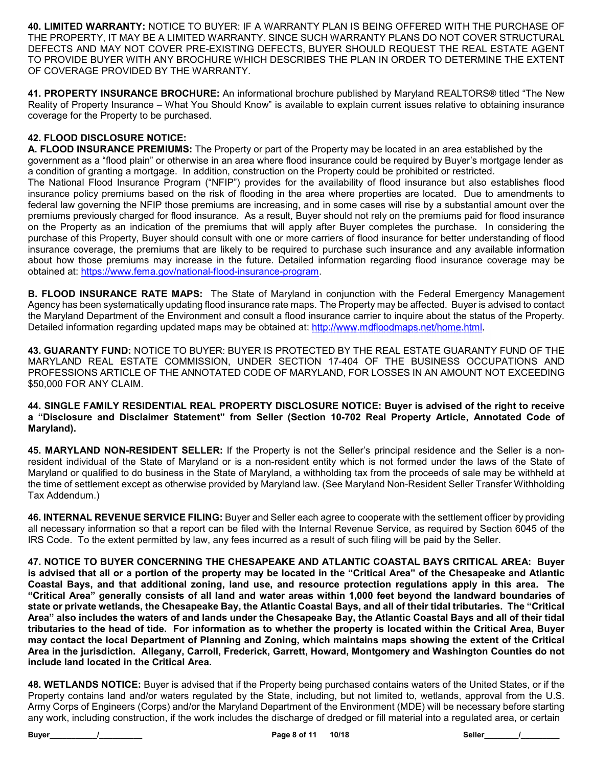**40. LIMITED WARRANTY:** NOTICE TO BUYER: IF A WARRANTY PLAN IS BEING OFFERED WITH THE PURCHASE OF THE PROPERTY, IT MAY BE A LIMITED WARRANTY. SINCE SUCH WARRANTY PLANS DO NOT COVER STRUCTURAL DEFECTS AND MAY NOT COVER PRE-EXISTING DEFECTS, BUYER SHOULD REQUEST THE REAL ESTATE AGENT TO PROVIDE BUYER WITH ANY BROCHURE WHICH DESCRIBES THE PLAN IN ORDER TO DETERMINE THE EXTENT OF COVERAGE PROVIDED BY THE WARRANTY.

**41. PROPERTY INSURANCE BROCHURE:** An informational brochure published by Maryland REALTORS® titled "The New Reality of Property Insurance – What You Should Know" is available to explain current issues relative to obtaining insurance coverage for the Property to be purchased.

## **42. FLOOD DISCLOSURE NOTICE:**

**A. FLOOD INSURANCE PREMIUMS:** The Property or part of the Property may be located in an area established by the government as a "flood plain" or otherwise in an area where flood insurance could be required by Buyer's mortgage lender as a condition of granting a mortgage. In addition, construction on the Property could be prohibited or restricted. The National Flood Insurance Program ("NFIP") provides for the availability of flood insurance but also establishes flood insurance policy premiums based on the risk of flooding in the area where properties are located. Due to amendments to federal law governing the NFIP those premiums are increasing, and in some cases will rise by a substantial amount over the premiums previously charged for flood insurance. As a result, Buyer should not rely on the premiums paid for flood insurance on the Property as an indication of the premiums that will apply after Buyer completes the purchase. In considering the purchase of this Property, Buyer should consult with one or more carriers of flood insurance for better understanding of flood insurance coverage, the premiums that are likely to be required to purchase such insurance and any available information about how those premiums may increase in the future. Detailed information regarding flood insurance coverage may be obtained at: https://www.fema.gov/national-flood-insurance-program.

**B. FLOOD INSURANCE RATE MAPS:** The State of Maryland in conjunction with the Federal Emergency Management Agency has been systematically updating flood insurance rate maps. The Property may be affected. Buyer is advised to contact the Maryland Department of the Environment and consult a flood insurance carrier to inquire about the status of the Property. Detailed information regarding updated maps may be obtained at: http://www.mdfloodmaps.net/home.html.

**43. GUARANTY FUND:** NOTICE TO BUYER: BUYER IS PROTECTED BY THE REAL ESTATE GUARANTY FUND OF THE MARYLAND REAL ESTATE COMMISSION, UNDER SECTION 17-404 OF THE BUSINESS OCCUPATIONS AND PROFESSIONS ARTICLE OF THE ANNOTATED CODE OF MARYLAND, FOR LOSSES IN AN AMOUNT NOT EXCEEDING \$50,000 FOR ANY CLAIM.

#### **44. SINGLE FAMILY RESIDENTIAL REAL PROPERTY DISCLOSURE NOTICE: Buyer is advised of the right to receive a "Disclosure and Disclaimer Statement" from Seller (Section 10-702 Real Property Article, Annotated Code of Maryland).**

**45. MARYLAND NON-RESIDENT SELLER:** If the Property is not the Seller's principal residence and the Seller is a nonresident individual of the State of Maryland or is a non-resident entity which is not formed under the laws of the State of Maryland or qualified to do business in the State of Maryland, a withholding tax from the proceeds of sale may be withheld at the time of settlement except as otherwise provided by Maryland law. (See Maryland Non-Resident Seller Transfer Withholding Tax Addendum.)

**46. INTERNAL REVENUE SERVICE FILING:** Buyer and Seller each agree to cooperate with the settlement officer by providing all necessary information so that a report can be filed with the Internal Revenue Service, as required by Section 6045 of the IRS Code. To the extent permitted by law, any fees incurred as a result of such filing will be paid by the Seller.

**47. NOTICE TO BUYER CONCERNING THE CHESAPEAKE AND ATLANTIC COASTAL BAYS CRITICAL AREA: Buyer is advised that all or a portion of the property may be located in the "Critical Area" of the Chesapeake and Atlantic Coastal Bays, and that additional zoning, land use, and resource protection regulations apply in this area. The "Critical Area" generally consists of all land and water areas within 1,000 feet beyond the landward boundaries of state or private wetlands, the Chesapeake Bay, the Atlantic Coastal Bays, and all of their tidal tributaries. The "Critical Area" also includes the waters of and lands under the Chesapeake Bay, the Atlantic Coastal Bays and all of their tidal tributaries to the head of tide. For information as to whether the property is located within the Critical Area, Buyer may contact the local Department of Planning and Zoning, which maintains maps showing the extent of the Critical Area in the jurisdiction. Allegany, Carroll, Frederick, Garrett, Howard, Montgomery and Washington Counties do not include land located in the Critical Area.** 

**48. WETLANDS NOTICE:** Buyer is advised that if the Property being purchased contains waters of the United States, or if the Property contains land and/or waters regulated by the State, including, but not limited to, wetlands, approval from the U.S. Army Corps of Engineers (Corps) and/or the Maryland Department of the Environment (MDE) will be necessary before starting any work, including construction, if the work includes the discharge of dredged or fill material into a regulated area, or certain

**Buyer\_\_\_\_\_\_\_\_\_\_\_/\_\_\_\_\_\_\_\_\_\_ Page 8 of 11 10/18 Seller\_\_\_\_\_\_\_\_/\_\_\_\_\_\_\_\_\_**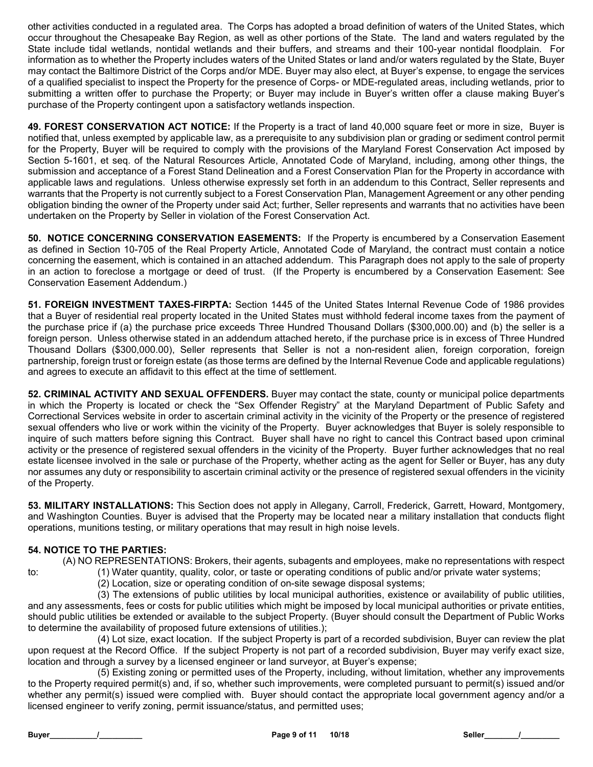other activities conducted in a regulated area. The Corps has adopted a broad definition of waters of the United States, which occur throughout the Chesapeake Bay Region, as well as other portions of the State. The land and waters regulated by the State include tidal wetlands, nontidal wetlands and their buffers, and streams and their 100-year nontidal floodplain. For information as to whether the Property includes waters of the United States or land and/or waters regulated by the State, Buyer may contact the Baltimore District of the Corps and/or MDE. Buyer may also elect, at Buyer's expense, to engage the services of a qualified specialist to inspect the Property for the presence of Corps- or MDE-regulated areas, including wetlands, prior to submitting a written offer to purchase the Property; or Buyer may include in Buyer's written offer a clause making Buyer's purchase of the Property contingent upon a satisfactory wetlands inspection.

**49. FOREST CONSERVATION ACT NOTICE:** If the Property is a tract of land 40,000 square feet or more in size, Buyer is notified that, unless exempted by applicable law, as a prerequisite to any subdivision plan or grading or sediment control permit for the Property, Buyer will be required to comply with the provisions of the Maryland Forest Conservation Act imposed by Section 5-1601, et seq. of the Natural Resources Article, Annotated Code of Maryland, including, among other things, the submission and acceptance of a Forest Stand Delineation and a Forest Conservation Plan for the Property in accordance with applicable laws and regulations. Unless otherwise expressly set forth in an addendum to this Contract, Seller represents and warrants that the Property is not currently subject to a Forest Conservation Plan, Management Agreement or any other pending obligation binding the owner of the Property under said Act; further, Seller represents and warrants that no activities have been undertaken on the Property by Seller in violation of the Forest Conservation Act.

**50. NOTICE CONCERNING CONSERVATION EASEMENTS:** If the Property is encumbered by a Conservation Easement as defined in Section 10-705 of the Real Property Article, Annotated Code of Maryland, the contract must contain a notice concerning the easement, which is contained in an attached addendum. This Paragraph does not apply to the sale of property in an action to foreclose a mortgage or deed of trust. (If the Property is encumbered by a Conservation Easement: See Conservation Easement Addendum.)

**51. FOREIGN INVESTMENT TAXES-FIRPTA:** Section 1445 of the United States Internal Revenue Code of 1986 provides that a Buyer of residential real property located in the United States must withhold federal income taxes from the payment of the purchase price if (a) the purchase price exceeds Three Hundred Thousand Dollars (\$300,000.00) and (b) the seller is a foreign person. Unless otherwise stated in an addendum attached hereto, if the purchase price is in excess of Three Hundred Thousand Dollars (\$300,000.00), Seller represents that Seller is not a non-resident alien, foreign corporation, foreign partnership, foreign trust or foreign estate (as those terms are defined by the Internal Revenue Code and applicable regulations) and agrees to execute an affidavit to this effect at the time of settlement.

**52. CRIMINAL ACTIVITY AND SEXUAL OFFENDERS.** Buyer may contact the state, county or municipal police departments in which the Property is located or check the "Sex Offender Registry" at the Maryland Department of Public Safety and Correctional Services website in order to ascertain criminal activity in the vicinity of the Property or the presence of registered sexual offenders who live or work within the vicinity of the Property. Buyer acknowledges that Buyer is solely responsible to inquire of such matters before signing this Contract. Buyer shall have no right to cancel this Contract based upon criminal activity or the presence of registered sexual offenders in the vicinity of the Property. Buyer further acknowledges that no real estate licensee involved in the sale or purchase of the Property, whether acting as the agent for Seller or Buyer, has any duty nor assumes any duty or responsibility to ascertain criminal activity or the presence of registered sexual offenders in the vicinity of the Property.

**53. MILITARY INSTALLATIONS:** This Section does not apply in Allegany, Carroll, Frederick, Garrett, Howard, Montgomery, and Washington Counties. Buyer is advised that the Property may be located near a military installation that conducts flight operations, munitions testing, or military operations that may result in high noise levels.

### **54. NOTICE TO THE PARTIES:**

(A) NO REPRESENTATIONS: Brokers, their agents, subagents and employees, make no representations with respect

- to: (1) Water quantity, quality, color, or taste or operating conditions of public and/or private water systems;
	- (2) Location, size or operating condition of on-site sewage disposal systems;

 (3) The extensions of public utilities by local municipal authorities, existence or availability of public utilities, and any assessments, fees or costs for public utilities which might be imposed by local municipal authorities or private entities, should public utilities be extended or available to the subject Property. (Buyer should consult the Department of Public Works to determine the availability of proposed future extensions of utilities.);

 (4) Lot size, exact location. If the subject Property is part of a recorded subdivision, Buyer can review the plat upon request at the Record Office. If the subject Property is not part of a recorded subdivision, Buyer may verify exact size, location and through a survey by a licensed engineer or land surveyor, at Buyer's expense;

(5) Existing zoning or permitted uses of the Property, including, without limitation, whether any improvements to the Property required permit(s) and, if so, whether such improvements, were completed pursuant to permit(s) issued and/or whether any permit(s) issued were complied with. Buyer should contact the appropriate local government agency and/or a licensed engineer to verify zoning, permit issuance/status, and permitted uses;

**Buyer\_\_\_\_\_\_\_\_\_\_\_/\_\_\_\_\_\_\_\_\_\_ Page 9 of 11 10/18 Seller\_\_\_\_\_\_\_\_/\_\_\_\_\_\_\_\_\_**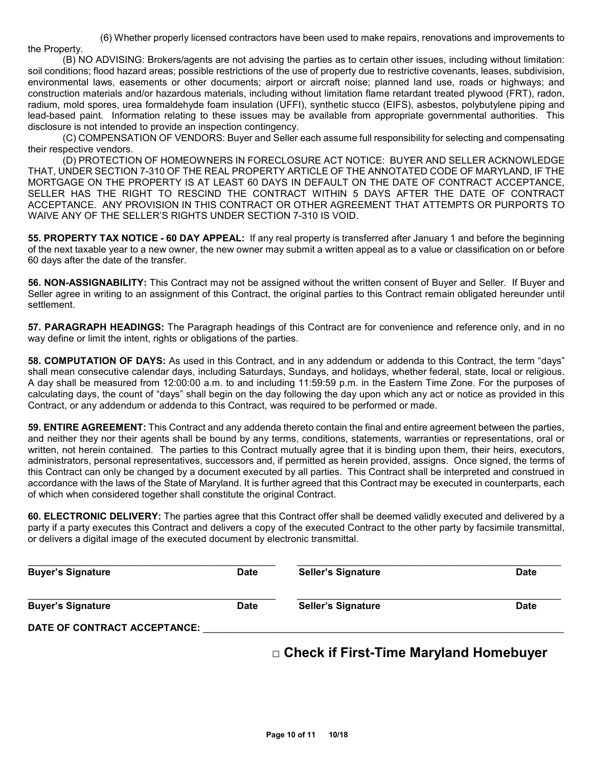(6) Whether properly licensed contractors have been used to make repairs, renovations and improvements to the Property.

(B) NO ADVISING: Brokers/agents are not advising the parties as to certain other issues, including without limitation: soil conditions; flood hazard areas; possible restrictions of the use of property due to restrictive covenants, leases, subdivision, environmental laws, easements or other documents; airport or aircraft noise; planned land use, roads or highways; and construction materials and/or hazardous materials, including without limitation flame retardant treated plywood (FRT), radon, radium, mold spores, urea formaldehyde foam insulation (UFFI), synthetic stucco (EIFS), asbestos, polybutylene piping and lead-based paint. Information relating to these issues may be available from appropriate governmental authorities. This disclosure is not intended to provide an inspection contingency.

 (C) COMPENSATION OF VENDORS: Buyer and Seller each assume full responsibility for selecting and compensating their respective vendors.

 (D) PROTECTION OF HOMEOWNERS IN FORECLOSURE ACT NOTICE: BUYER AND SELLER ACKNOWLEDGE THAT, UNDER SECTION 7-310 OF THE REAL PROPERTY ARTICLE OF THE ANNOTATED CODE OF MARYLAND, IF THE MORTGAGE ON THE PROPERTY IS AT LEAST 60 DAYS IN DEFAULT ON THE DATE OF CONTRACT ACCEPTANCE, SELLER HAS THE RIGHT TO RESCIND THE CONTRACT WITHIN 5 DAYS AFTER THE DATE OF CONTRACT ACCEPTANCE. ANY PROVISION IN THIS CONTRACT OR OTHER AGREEMENT THAT ATTEMPTS OR PURPORTS TO WAIVE ANY OF THE SELLER'S RIGHTS UNDER SECTION 7-310 IS VOID.

**55. PROPERTY TAX NOTICE - 60 DAY APPEAL:** If any real property is transferred after January 1 and before the beginning of the next taxable year to a new owner, the new owner may submit a written appeal as to a value or classification on or before 60 days after the date of the transfer.

**56. NON-ASSIGNABILITY:** This Contract may not be assigned without the written consent of Buyer and Seller. If Buyer and Seller agree in writing to an assignment of this Contract, the original parties to this Contract remain obligated hereunder until settlement.

**57. PARAGRAPH HEADINGS:** The Paragraph headings of this Contract are for convenience and reference only, and in no way define or limit the intent, rights or obligations of the parties.

**58. COMPUTATION OF DAYS:** As used in this Contract, and in any addendum or addenda to this Contract, the term "days" shall mean consecutive calendar days, including Saturdays, Sundays, and holidays, whether federal, state, local or religious. A day shall be measured from 12:00:00 a.m. to and including 11:59:59 p.m. in the Eastern Time Zone. For the purposes of calculating days, the count of "days" shall begin on the day following the day upon which any act or notice as provided in this Contract, or any addendum or addenda to this Contract, was required to be performed or made.

**59. ENTIRE AGREEMENT:** This Contract and any addenda thereto contain the final and entire agreement between the parties, and neither they nor their agents shall be bound by any terms, conditions, statements, warranties or representations, oral or written, not herein contained. The parties to this Contract mutually agree that it is binding upon them, their heirs, executors, administrators, personal representatives, successors and, if permitted as herein provided, assigns. Once signed, the terms of this Contract can only be changed by a document executed by all parties. This Contract shall be interpreted and construed in accordance with the laws of the State of Maryland. It is further agreed that this Contract may be executed in counterparts, each of which when considered together shall constitute the original Contract.

**60. ELECTRONIC DELIVERY:** The parties agree that this Contract offer shall be deemed validly executed and delivered by a party if a party executes this Contract and delivers a copy of the executed Contract to the other party by facsimile transmittal, or delivers a digital image of the executed document by electronic transmittal.

| <b>Buyer's Signature</b>     | <b>Date</b> | <b>Seller's Signature</b> | <b>Date</b> |
|------------------------------|-------------|---------------------------|-------------|
| <b>Buyer's Signature</b>     | <b>Date</b> | <b>Seller's Signature</b> | <b>Date</b> |
| DATE OF CONTRACT ACCEPTANCE: |             |                           |             |

□ **Check if First-Time Maryland Homebuyer**